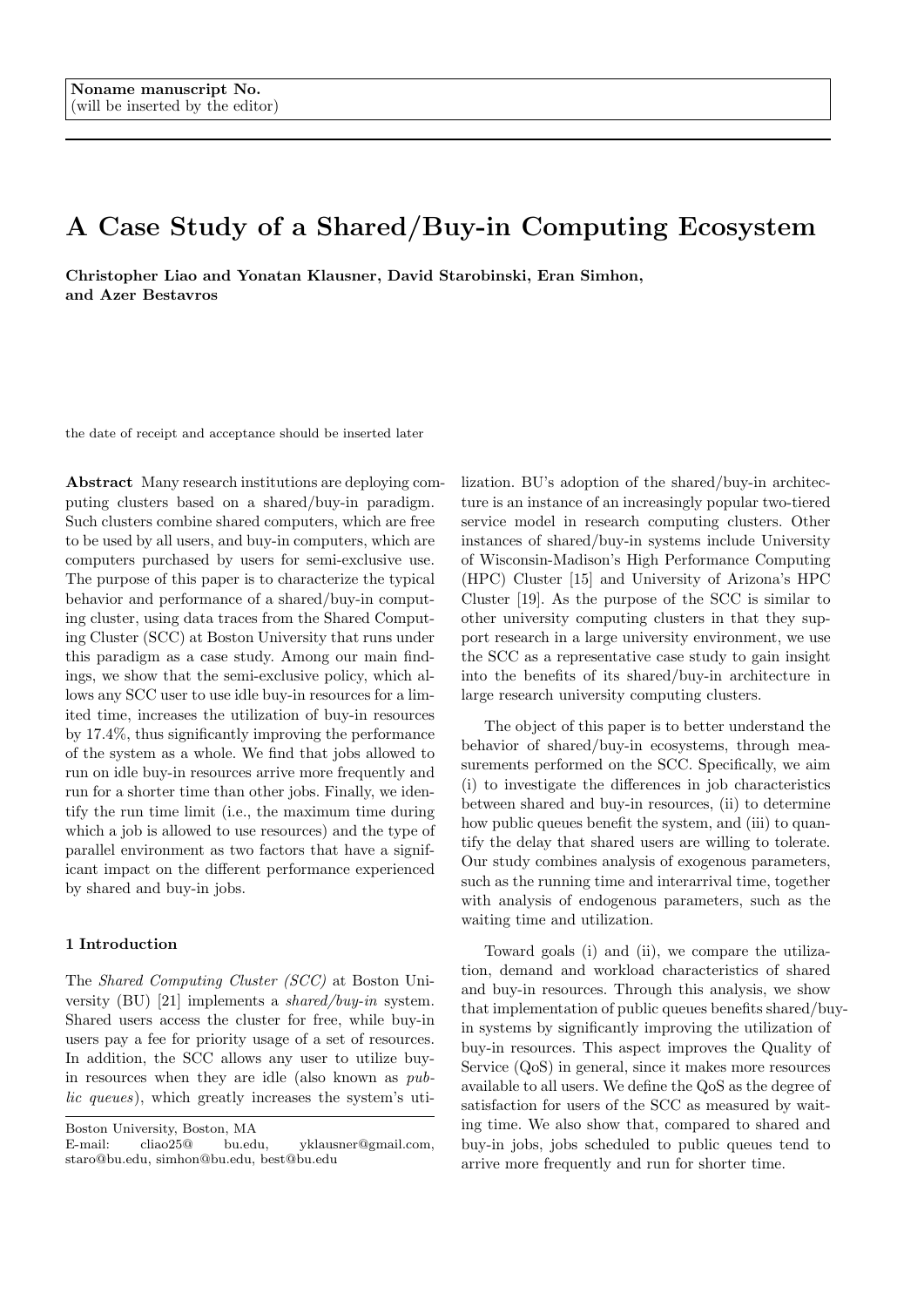# A Case Study of a Shared/Buy-in Computing Ecosystem

Christopher Liao and Yonatan Klausner, David Starobinski, Eran Simhon, and Azer Bestavros

the date of receipt and acceptance should be inserted later

Abstract Many research institutions are deploying computing clusters based on a shared/buy-in paradigm. Such clusters combine shared computers, which are free to be used by all users, and buy-in computers, which are computers purchased by users for semi-exclusive use. The purpose of this paper is to characterize the typical behavior and performance of a shared/buy-in computing cluster, using data traces from the Shared Computing Cluster (SCC) at Boston University that runs under this paradigm as a case study. Among our main findings, we show that the semi-exclusive policy, which allows any SCC user to use idle buy-in resources for a limited time, increases the utilization of buy-in resources by 17.4%, thus significantly improving the performance of the system as a whole. We find that jobs allowed to run on idle buy-in resources arrive more frequently and run for a shorter time than other jobs. Finally, we identify the run time limit (i.e., the maximum time during which a job is allowed to use resources) and the type of parallel environment as two factors that have a significant impact on the different performance experienced by shared and buy-in jobs.

# 1 Introduction

The Shared Computing Cluster (SCC) at Boston University (BU) [21] implements a shared/buy-in system. Shared users access the cluster for free, while buy-in users pay a fee for priority usage of a set of resources. In addition, the SCC allows any user to utilize buyin resources when they are idle (also known as  $pub$ lic queues), which greatly increases the system's uti-

Boston University, Boston, MA

E-mail: cliao25@ bu.edu, yklausner@gmail.com, staro@bu.edu, simhon@bu.edu, best@bu.edu

lization. BU's adoption of the shared/buy-in architecture is an instance of an increasingly popular two-tiered service model in research computing clusters. Other instances of shared/buy-in systems include University of Wisconsin-Madison's High Performance Computing (HPC) Cluster [15] and University of Arizona's HPC Cluster [19]. As the purpose of the SCC is similar to other university computing clusters in that they support research in a large university environment, we use the SCC as a representative case study to gain insight into the benefits of its shared/buy-in architecture in large research university computing clusters.

The object of this paper is to better understand the behavior of shared/buy-in ecosystems, through measurements performed on the SCC. Specifically, we aim (i) to investigate the differences in job characteristics between shared and buy-in resources, (ii) to determine how public queues benefit the system, and (iii) to quantify the delay that shared users are willing to tolerate. Our study combines analysis of exogenous parameters, such as the running time and interarrival time, together with analysis of endogenous parameters, such as the waiting time and utilization.

Toward goals (i) and (ii), we compare the utilization, demand and workload characteristics of shared and buy-in resources. Through this analysis, we show that implementation of public queues benefits shared/buyin systems by significantly improving the utilization of buy-in resources. This aspect improves the Quality of Service (QoS) in general, since it makes more resources available to all users. We define the QoS as the degree of satisfaction for users of the SCC as measured by waiting time. We also show that, compared to shared and buy-in jobs, jobs scheduled to public queues tend to arrive more frequently and run for shorter time.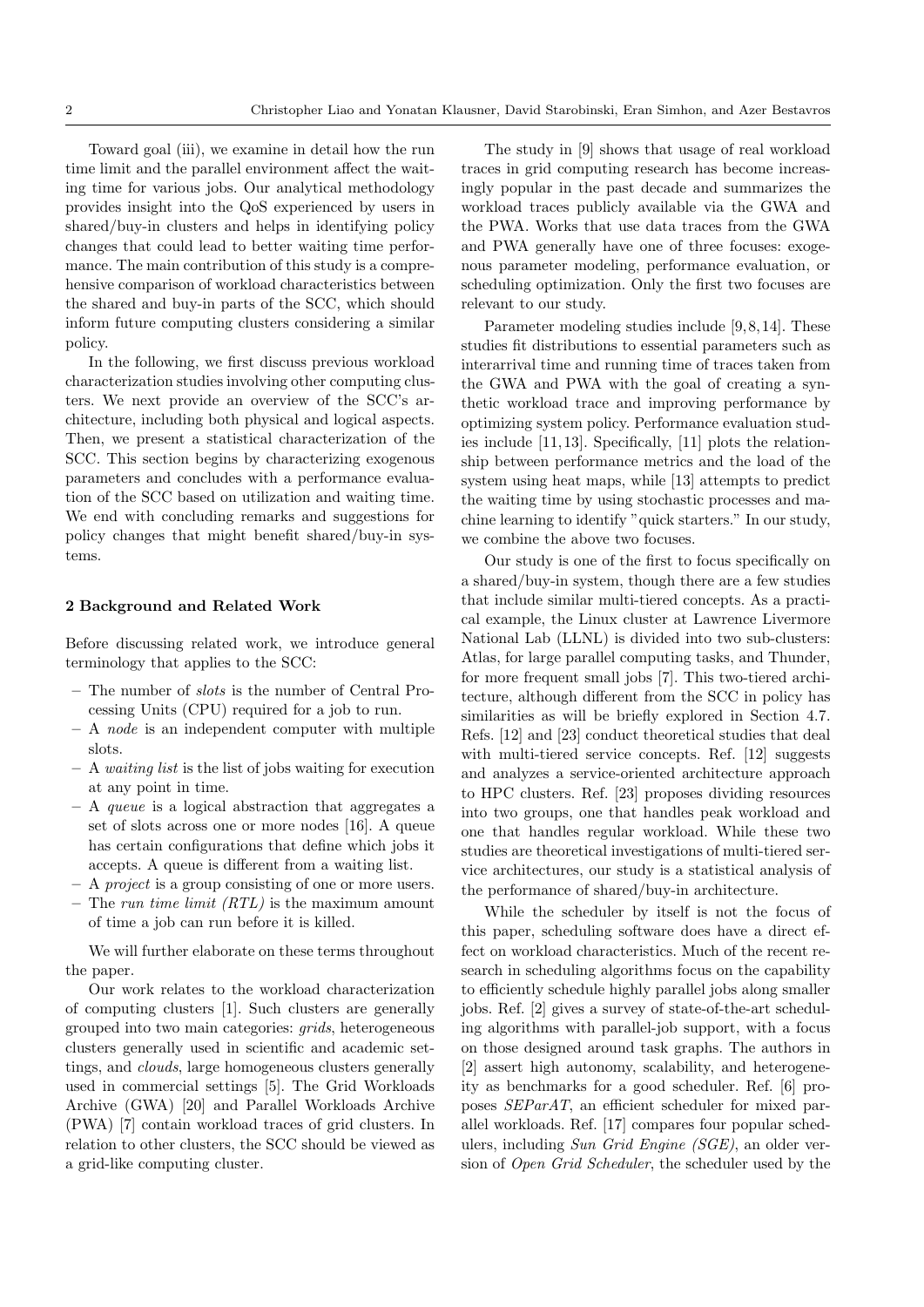Toward goal (iii), we examine in detail how the run time limit and the parallel environment affect the waiting time for various jobs. Our analytical methodology provides insight into the QoS experienced by users in shared/buy-in clusters and helps in identifying policy changes that could lead to better waiting time performance. The main contribution of this study is a comprehensive comparison of workload characteristics between the shared and buy-in parts of the SCC, which should inform future computing clusters considering a similar policy.

In the following, we first discuss previous workload characterization studies involving other computing clusters. We next provide an overview of the SCC's architecture, including both physical and logical aspects. Then, we present a statistical characterization of the SCC. This section begins by characterizing exogenous parameters and concludes with a performance evaluation of the SCC based on utilization and waiting time. We end with concluding remarks and suggestions for policy changes that might benefit shared/buy-in systems.

# 2 Background and Related Work

Before discussing related work, we introduce general terminology that applies to the SCC:

- The number of slots is the number of Central Processing Units (CPU) required for a job to run.
- A node is an independent computer with multiple slots.
- A waiting list is the list of jobs waiting for execution at any point in time.
- A queue is a logical abstraction that aggregates a set of slots across one or more nodes [16]. A queue has certain configurations that define which jobs it accepts. A queue is different from a waiting list.
- A project is a group consisting of one or more users.
- The *run time limit (RTL)* is the maximum amount of time a job can run before it is killed.

We will further elaborate on these terms throughout the paper.

Our work relates to the workload characterization of computing clusters [1]. Such clusters are generally grouped into two main categories: grids, heterogeneous clusters generally used in scientific and academic settings, and clouds, large homogeneous clusters generally used in commercial settings [5]. The Grid Workloads Archive (GWA) [20] and Parallel Workloads Archive (PWA) [7] contain workload traces of grid clusters. In relation to other clusters, the SCC should be viewed as a grid-like computing cluster.

The study in [9] shows that usage of real workload traces in grid computing research has become increasingly popular in the past decade and summarizes the workload traces publicly available via the GWA and the PWA. Works that use data traces from the GWA and PWA generally have one of three focuses: exogenous parameter modeling, performance evaluation, or scheduling optimization. Only the first two focuses are relevant to our study.

Parameter modeling studies include [9, 8, 14]. These studies fit distributions to essential parameters such as interarrival time and running time of traces taken from the GWA and PWA with the goal of creating a synthetic workload trace and improving performance by optimizing system policy. Performance evaluation studies include [11, 13]. Specifically, [11] plots the relationship between performance metrics and the load of the system using heat maps, while [13] attempts to predict the waiting time by using stochastic processes and machine learning to identify "quick starters." In our study, we combine the above two focuses.

Our study is one of the first to focus specifically on a shared/buy-in system, though there are a few studies that include similar multi-tiered concepts. As a practical example, the Linux cluster at Lawrence Livermore National Lab (LLNL) is divided into two sub-clusters: Atlas, for large parallel computing tasks, and Thunder, for more frequent small jobs [7]. This two-tiered architecture, although different from the SCC in policy has similarities as will be briefly explored in Section 4.7. Refs. [12] and [23] conduct theoretical studies that deal with multi-tiered service concepts. Ref. [12] suggests and analyzes a service-oriented architecture approach to HPC clusters. Ref. [23] proposes dividing resources into two groups, one that handles peak workload and one that handles regular workload. While these two studies are theoretical investigations of multi-tiered service architectures, our study is a statistical analysis of the performance of shared/buy-in architecture.

While the scheduler by itself is not the focus of this paper, scheduling software does have a direct effect on workload characteristics. Much of the recent research in scheduling algorithms focus on the capability to efficiently schedule highly parallel jobs along smaller jobs. Ref. [2] gives a survey of state-of-the-art scheduling algorithms with parallel-job support, with a focus on those designed around task graphs. The authors in [2] assert high autonomy, scalability, and heterogeneity as benchmarks for a good scheduler. Ref. [6] proposes SEParAT, an efficient scheduler for mixed parallel workloads. Ref. [17] compares four popular schedulers, including Sun Grid Engine (SGE), an older version of Open Grid Scheduler, the scheduler used by the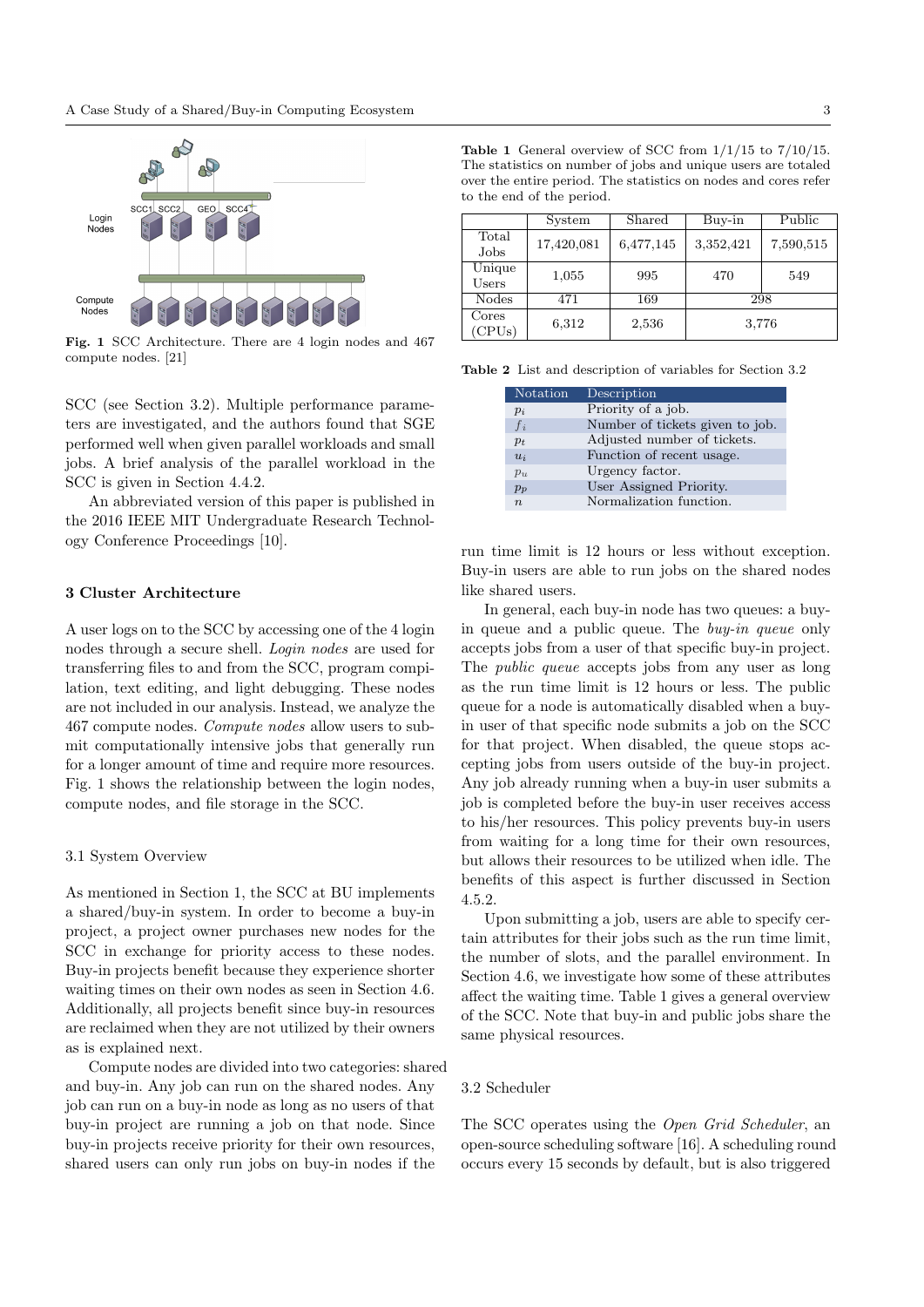

Fig. 1 SCC Architecture. There are 4 login nodes and 467 compute nodes. [21]

SCC (see Section 3.2). Multiple performance parameters are investigated, and the authors found that SGE performed well when given parallel workloads and small jobs. A brief analysis of the parallel workload in the SCC is given in Section 4.4.2.

An abbreviated version of this paper is published in the 2016 IEEE MIT Undergraduate Research Technology Conference Proceedings [10].

# 3 Cluster Architecture

A user logs on to the SCC by accessing one of the 4 login nodes through a secure shell. Login nodes are used for transferring files to and from the SCC, program compilation, text editing, and light debugging. These nodes are not included in our analysis. Instead, we analyze the 467 compute nodes. Compute nodes allow users to submit computationally intensive jobs that generally run for a longer amount of time and require more resources. Fig. 1 shows the relationship between the login nodes, compute nodes, and file storage in the SCC.

# 3.1 System Overview

As mentioned in Section 1, the SCC at BU implements a shared/buy-in system. In order to become a buy-in project, a project owner purchases new nodes for the SCC in exchange for priority access to these nodes. Buy-in projects benefit because they experience shorter waiting times on their own nodes as seen in Section 4.6. Additionally, all projects benefit since buy-in resources are reclaimed when they are not utilized by their owners as is explained next.

Compute nodes are divided into two categories: shared and buy-in. Any job can run on the shared nodes. Any job can run on a buy-in node as long as no users of that buy-in project are running a job on that node. Since buy-in projects receive priority for their own resources, shared users can only run jobs on buy-in nodes if the

Table 1 General overview of SCC from  $1/1/15$  to  $7/10/15$ . The statistics on number of jobs and unique users are totaled over the entire period. The statistics on nodes and cores refer to the end of the period.

|                 | System     | Shared    |           | Public    |  |
|-----------------|------------|-----------|-----------|-----------|--|
| Total<br>Jobs   | 17,420,081 | 6,477,145 | 3,352,421 | 7,590,515 |  |
| Unique<br>Users | 1,055      | 995       | 470       | 549       |  |
| Nodes           | 471        | 169       | 298       |           |  |
| Cores<br>(CPUs) | 6,312      | 2,536     | 3,776     |           |  |

Table 2 List and description of variables for Section 3.2

| Notation         | Description                     |
|------------------|---------------------------------|
| $p_i$            | Priority of a job.              |
| $f_i$            | Number of tickets given to job. |
| $p_t$            | Adjusted number of tickets.     |
| $u_i$            | Function of recent usage.       |
| $p_u$            | Urgency factor.                 |
| $p_p$            | User Assigned Priority.         |
| $\boldsymbol{n}$ | Normalization function.         |

run time limit is 12 hours or less without exception. Buy-in users are able to run jobs on the shared nodes like shared users.

In general, each buy-in node has two queues: a buyin queue and a public queue. The buy-in queue only accepts jobs from a user of that specific buy-in project. The *public queue* accepts jobs from any user as long as the run time limit is 12 hours or less. The public queue for a node is automatically disabled when a buyin user of that specific node submits a job on the SCC for that project. When disabled, the queue stops accepting jobs from users outside of the buy-in project. Any job already running when a buy-in user submits a job is completed before the buy-in user receives access to his/her resources. This policy prevents buy-in users from waiting for a long time for their own resources, but allows their resources to be utilized when idle. The benefits of this aspect is further discussed in Section 4.5.2.

Upon submitting a job, users are able to specify certain attributes for their jobs such as the run time limit, the number of slots, and the parallel environment. In Section 4.6, we investigate how some of these attributes affect the waiting time. Table 1 gives a general overview of the SCC. Note that buy-in and public jobs share the same physical resources.

#### 3.2 Scheduler

The SCC operates using the *Open Grid Scheduler*, an open-source scheduling software [16]. A scheduling round occurs every 15 seconds by default, but is also triggered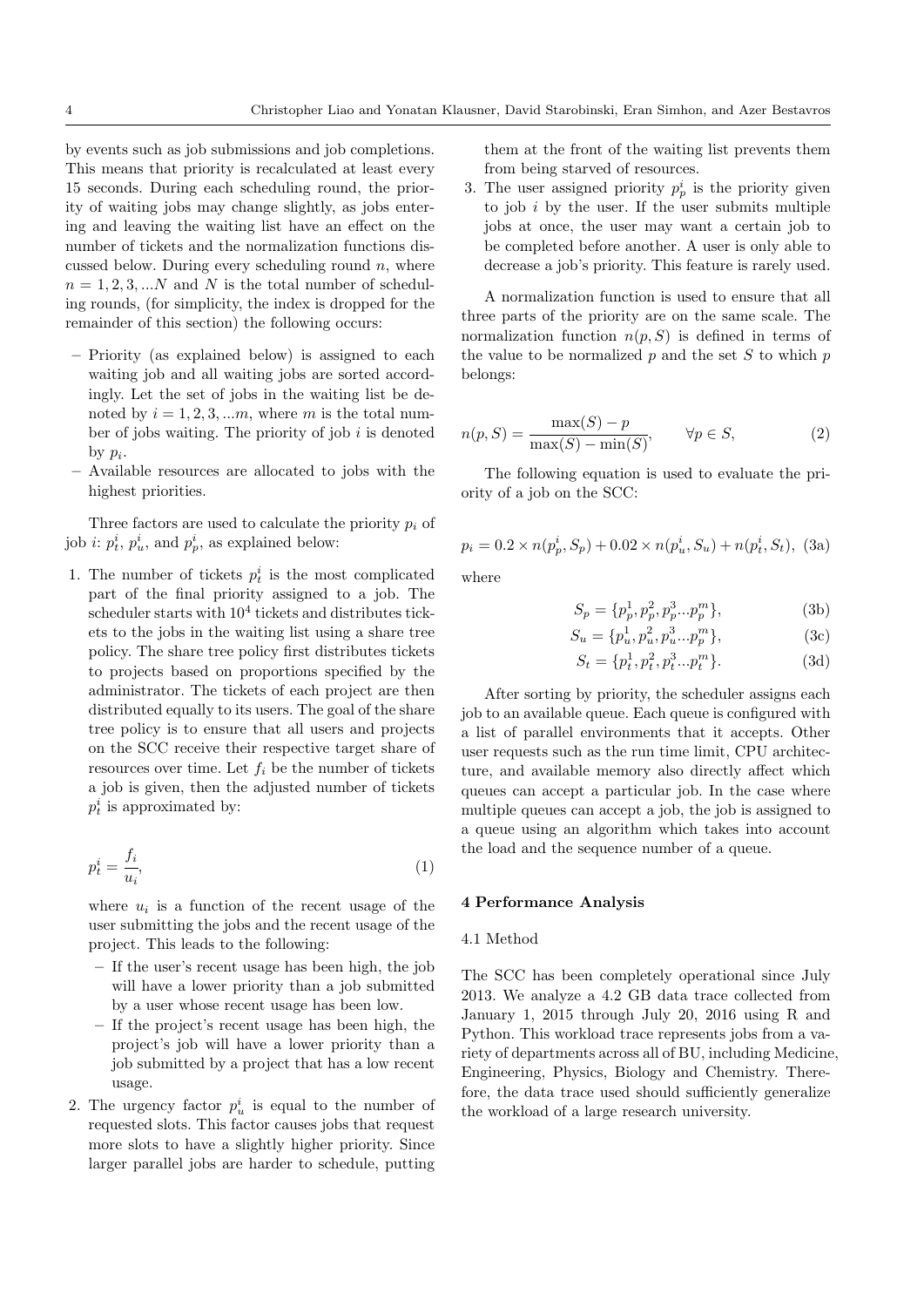by events such as job submissions and job completions. This means that priority is recalculated at least every 15 seconds. During each scheduling round, the priority of waiting jobs may change slightly, as jobs entering and leaving the waiting list have an effect on the number of tickets and the normalization functions discussed below. During every scheduling round  $n$ , where  $n = 1, 2, 3, \dots N$  and N is the total number of scheduling rounds, (for simplicity, the index is dropped for the remainder of this section) the following occurs:

- Priority (as explained below) is assigned to each waiting job and all waiting jobs are sorted accordingly. Let the set of jobs in the waiting list be denoted by  $i = 1, 2, 3, \ldots m$ , where m is the total number of jobs waiting. The priority of job  $i$  is denoted by  $p_i$ .
- Available resources are allocated to jobs with the highest priorities.

Three factors are used to calculate the priority  $p_i$  of job *i*:  $p_t^i$ ,  $p_u^i$ , and  $p_p^i$ , as explained below:

1. The number of tickets  $p_t^i$  is the most complicated part of the final priority assigned to a job. The scheduler starts with  $10^4$  tickets and distributes tickets to the jobs in the waiting list using a share tree policy. The share tree policy first distributes tickets to projects based on proportions specified by the administrator. The tickets of each project are then distributed equally to its users. The goal of the share tree policy is to ensure that all users and projects on the SCC receive their respective target share of resources over time. Let  $f_i$  be the number of tickets a job is given, then the adjusted number of tickets  $p_t^i$  is approximated by:

$$
p_t^i = \frac{f_i}{u_i},\tag{1}
$$

where  $u_i$  is a function of the recent usage of the user submitting the jobs and the recent usage of the project. This leads to the following:

- If the user's recent usage has been high, the job will have a lower priority than a job submitted by a user whose recent usage has been low.
- If the project's recent usage has been high, the project's job will have a lower priority than a job submitted by a project that has a low recent usage.
- 2. The urgency factor  $p_u^i$  is equal to the number of requested slots. This factor causes jobs that request more slots to have a slightly higher priority. Since larger parallel jobs are harder to schedule, putting

them at the front of the waiting list prevents them from being starved of resources.

3. The user assigned priority  $p_p^i$  is the priority given to job  $i$  by the user. If the user submits multiple jobs at once, the user may want a certain job to be completed before another. A user is only able to decrease a job's priority. This feature is rarely used.

A normalization function is used to ensure that all three parts of the priority are on the same scale. The normalization function  $n(p, S)$  is defined in terms of the value to be normalized  $p$  and the set  $S$  to which  $p$ belongs:

$$
n(p, S) = \frac{\max(S) - p}{\max(S) - \min(S)}, \qquad \forall p \in S,
$$
 (2)

The following equation is used to evaluate the priority of a job on the SCC:

$$
p_i = 0.2 \times n(p_p^i, S_p) + 0.02 \times n(p_u^i, S_u) + n(p_t^i, S_t),
$$
 (3a)

where

$$
S_p = \{p_p^1, p_p^2, p_p^3...p_p^m\},\tag{3b}
$$

$$
S_u = \{p_u^1, p_u^2, p_u^3...p_p^m\},\tag{3c}
$$

$$
S_t = \{p_t^1, p_t^2, p_t^3...p_t^m\}.
$$
 (3d)

After sorting by priority, the scheduler assigns each job to an available queue. Each queue is configured with a list of parallel environments that it accepts. Other user requests such as the run time limit, CPU architecture, and available memory also directly affect which queues can accept a particular job. In the case where multiple queues can accept a job, the job is assigned to a queue using an algorithm which takes into account the load and the sequence number of a queue.

# 4 Performance Analysis

## 4.1 Method

The SCC has been completely operational since July 2013. We analyze a 4.2 GB data trace collected from January 1, 2015 through July 20, 2016 using R and Python. This workload trace represents jobs from a variety of departments across all of BU, including Medicine, Engineering, Physics, Biology and Chemistry. Therefore, the data trace used should sufficiently generalize the workload of a large research university.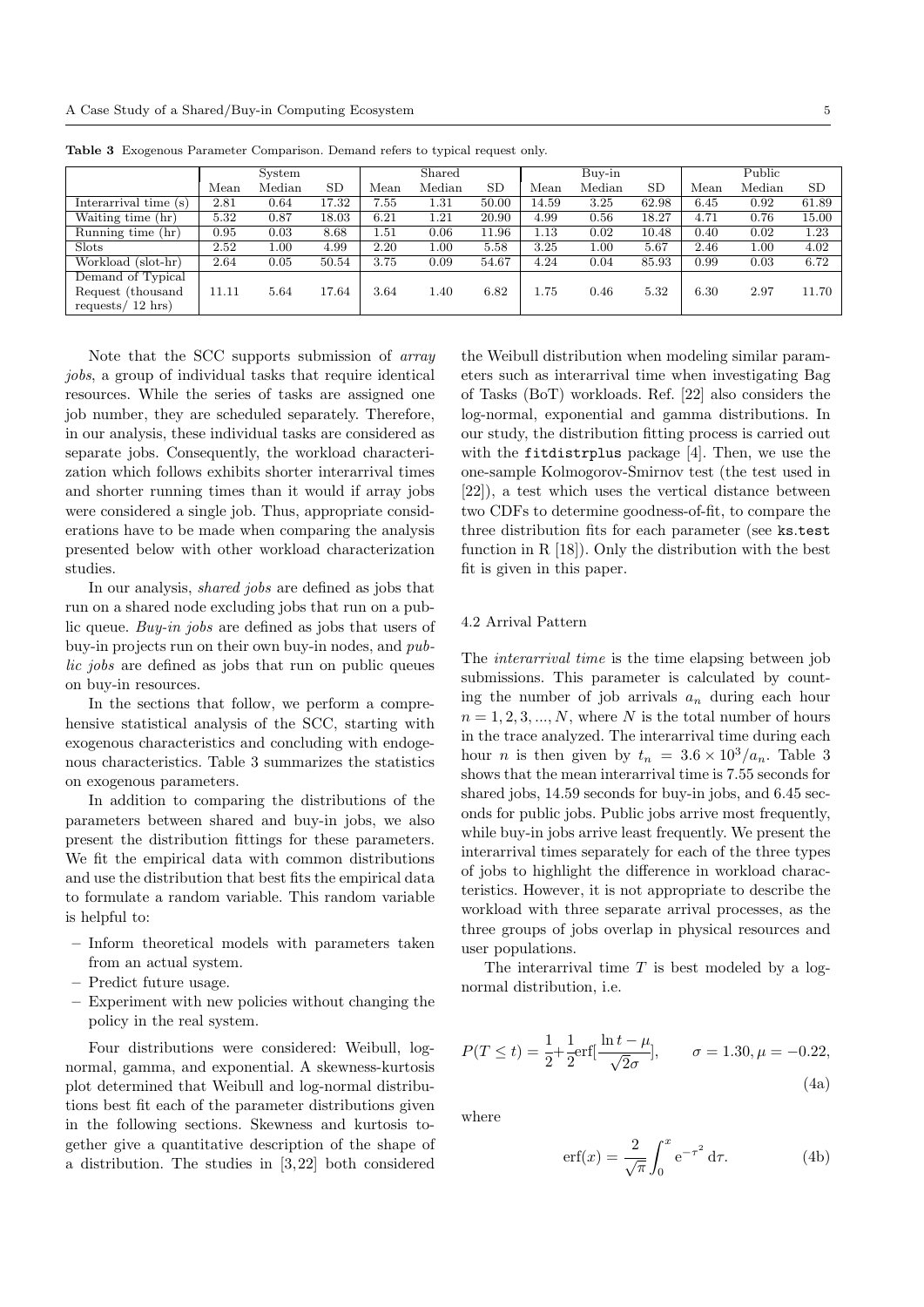|                              | System   |        | Shared |      |        | Buy-in |          |          | Public |      |          |           |
|------------------------------|----------|--------|--------|------|--------|--------|----------|----------|--------|------|----------|-----------|
|                              | Mean     | Median | SD     | Mean | Median | SD     | Mean     | Median   | SD     | Mean | Median   | <b>SD</b> |
| Interarrival time (s)        | 2.81     | 0.64   | 17.32  | 7.55 | 1.31   | 50.00  | 14.59    | 3.25     | 62.98  | 6.45 | 0.92     | 61.89     |
| Waiting time (hr)            | 5.32     | 0.87   | 18.03  | 6.21 | 1.21   | 20.90  | 4.99     | 0.56     | 18.27  | 4.71 | 0.76     | 15.00     |
| Running time (hr)            | $0.95\,$ | 0.03   | 8.68   | 1.51 | 0.06   | 11.96  | 1.13     | 0.02     | 10.48  | 0.40 | 0.02     | 1.23      |
| <b>Slots</b>                 | 2.52     | 1.00   | 4.99   | 2.20 | 1.00   | 5.58   | 3.25     | $1.00\,$ | 5.67   | 2.46 | $1.00\,$ | 4.02      |
| Workload (slot-hr)           | 2.64     | 0.05   | 50.54  | 3.75 | 0.09   | 54.67  | 4.24     | 0.04     | 85.93  | 0.99 | 0.03     | 6.72      |
| Demand of Typical            |          |        |        |      |        |        |          |          |        |      |          |           |
| Request (thousand            | 11.11    | 5.64   | 17.64  | 3.64 | 1.40   | 6.82   | $1.75\,$ | 0.46     | 5.32   | 6.30 | 2.97     | 11.70     |
| requests/ $12 \text{ hrs}$ ) |          |        |        |      |        |        |          |          |        |      |          |           |

Table 3 Exogenous Parameter Comparison. Demand refers to typical request only.

Note that the SCC supports submission of array jobs, a group of individual tasks that require identical resources. While the series of tasks are assigned one job number, they are scheduled separately. Therefore, in our analysis, these individual tasks are considered as separate jobs. Consequently, the workload characterization which follows exhibits shorter interarrival times and shorter running times than it would if array jobs were considered a single job. Thus, appropriate considerations have to be made when comparing the analysis presented below with other workload characterization studies.

In our analysis, shared jobs are defined as jobs that run on a shared node excluding jobs that run on a public queue. Buy-in jobs are defined as jobs that users of buy-in projects run on their own buy-in nodes, and public jobs are defined as jobs that run on public queues on buy-in resources.

In the sections that follow, we perform a comprehensive statistical analysis of the SCC, starting with exogenous characteristics and concluding with endogenous characteristics. Table 3 summarizes the statistics on exogenous parameters.

In addition to comparing the distributions of the parameters between shared and buy-in jobs, we also present the distribution fittings for these parameters. We fit the empirical data with common distributions and use the distribution that best fits the empirical data to formulate a random variable. This random variable is helpful to:

- Inform theoretical models with parameters taken from an actual system.
- Predict future usage.
- Experiment with new policies without changing the policy in the real system.

Four distributions were considered: Weibull, lognormal, gamma, and exponential. A skewness-kurtosis plot determined that Weibull and log-normal distributions best fit each of the parameter distributions given in the following sections. Skewness and kurtosis together give a quantitative description of the shape of a distribution. The studies in [3, 22] both considered

the Weibull distribution when modeling similar parameters such as interarrival time when investigating Bag of Tasks (BoT) workloads. Ref. [22] also considers the log-normal, exponential and gamma distributions. In our study, the distribution fitting process is carried out with the fitdistrplus package [4]. Then, we use the one-sample Kolmogorov-Smirnov test (the test used in [22]), a test which uses the vertical distance between two CDFs to determine goodness-of-fit, to compare the three distribution fits for each parameter (see ks.test function in R [18]). Only the distribution with the best fit is given in this paper.

# 4.2 Arrival Pattern

The interarrival time is the time elapsing between job submissions. This parameter is calculated by counting the number of job arrivals  $a_n$  during each hour  $n = 1, 2, 3, ..., N$ , where N is the total number of hours in the trace analyzed. The interarrival time during each hour *n* is then given by  $t_n = 3.6 \times 10^3/a_n$ . Table 3 shows that the mean interarrival time is 7.55 seconds for shared jobs, 14.59 seconds for buy-in jobs, and 6.45 seconds for public jobs. Public jobs arrive most frequently, while buy-in jobs arrive least frequently. We present the interarrival times separately for each of the three types of jobs to highlight the difference in workload characteristics. However, it is not appropriate to describe the workload with three separate arrival processes, as the three groups of jobs overlap in physical resources and user populations.

The interarrival time  $T$  is best modeled by a lognormal distribution, i.e.

$$
P(T \le t) = \frac{1}{2} + \frac{1}{2} \text{erf} \left[ \frac{\ln t - \mu}{\sqrt{2}\sigma} \right], \qquad \sigma = 1.30, \mu = -0.22,
$$
\n(4a)

where

$$
\operatorname{erf}(x) = \frac{2}{\sqrt{\pi}} \int_0^x e^{-\tau^2} d\tau.
$$
 (4b)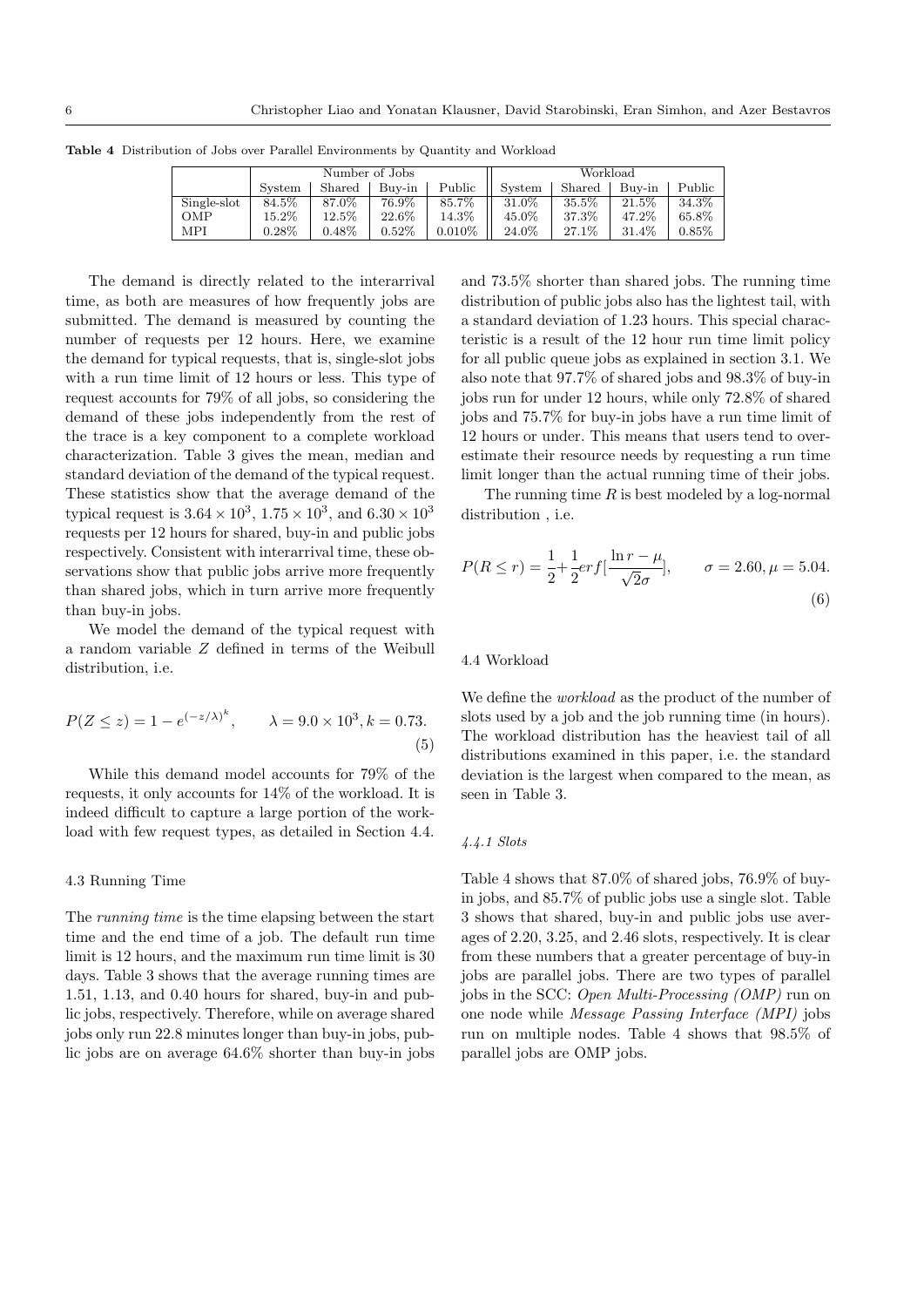Table 4 Distribution of Jobs over Parallel Environments by Quantity and Workload

|             | Number of Jobs |          |          |           | Workload |        |          |          |  |
|-------------|----------------|----------|----------|-----------|----------|--------|----------|----------|--|
|             | <b>System</b>  | Shared   | Buv-in   | Public    | System   | Shared | Buv-in   | Public   |  |
| Single-slot | 84.5%          | 87.0%    | $76.9\%$ | 85.7%     | 31.0%    | 35.5%  | $21.5\%$ | 34.3%    |  |
| ОМР         | 15.2%          | $12.5\%$ | $22.6\%$ | 14.3%     | 45.0%    | 37.3%  | 47.2%    | 65.8%    |  |
| MPI         | $0.28\%$       | $0.48\%$ | $0.52\%$ | $0.010\%$ | 24.0%    | 27.1\% | 31.4%    | $0.85\%$ |  |

The demand is directly related to the interarrival time, as both are measures of how frequently jobs are submitted. The demand is measured by counting the number of requests per 12 hours. Here, we examine the demand for typical requests, that is, single-slot jobs with a run time limit of 12 hours or less. This type of request accounts for 79% of all jobs, so considering the demand of these jobs independently from the rest of the trace is a key component to a complete workload characterization. Table 3 gives the mean, median and standard deviation of the demand of the typical request. These statistics show that the average demand of the typical request is  $3.64 \times 10^3$ ,  $1.75 \times 10^3$ , and  $6.30 \times 10^3$ requests per 12 hours for shared, buy-in and public jobs respectively. Consistent with interarrival time, these observations show that public jobs arrive more frequently than shared jobs, which in turn arrive more frequently than buy-in jobs.

We model the demand of the typical request with a random variable Z defined in terms of the Weibull distribution, i.e.

$$
P(Z \le z) = 1 - e^{(-z/\lambda)^k}, \qquad \lambda = 9.0 \times 10^3, k = 0.73.
$$
\n(5)

While this demand model accounts for 79% of the requests, it only accounts for 14% of the workload. It is indeed difficult to capture a large portion of the workload with few request types, as detailed in Section 4.4.

# 4.3 Running Time

The running time is the time elapsing between the start time and the end time of a job. The default run time limit is 12 hours, and the maximum run time limit is 30 days. Table 3 shows that the average running times are 1.51, 1.13, and 0.40 hours for shared, buy-in and public jobs, respectively. Therefore, while on average shared jobs only run 22.8 minutes longer than buy-in jobs, public jobs are on average 64.6% shorter than buy-in jobs

and 73.5% shorter than shared jobs. The running time distribution of public jobs also has the lightest tail, with a standard deviation of 1.23 hours. This special characteristic is a result of the 12 hour run time limit policy for all public queue jobs as explained in section 3.1. We also note that 97.7% of shared jobs and 98.3% of buy-in jobs run for under 12 hours, while only 72.8% of shared jobs and 75.7% for buy-in jobs have a run time limit of 12 hours or under. This means that users tend to overestimate their resource needs by requesting a run time limit longer than the actual running time of their jobs.

The running time  $R$  is best modeled by a log-normal distribution , i.e.

$$
P(R \le r) = \frac{1}{2} + \frac{1}{2} erf\left[\frac{\ln r - \mu}{\sqrt{2}\sigma}\right], \qquad \sigma = 2.60, \mu = 5.04.
$$
\n(6)

# 4.4 Workload

We define the workload as the product of the number of slots used by a job and the job running time (in hours). The workload distribution has the heaviest tail of all distributions examined in this paper, i.e. the standard deviation is the largest when compared to the mean, as seen in Table 3.

# 4.4.1 Slots

Table 4 shows that 87.0% of shared jobs, 76.9% of buyin jobs, and 85.7% of public jobs use a single slot. Table 3 shows that shared, buy-in and public jobs use averages of 2.20, 3.25, and 2.46 slots, respectively. It is clear from these numbers that a greater percentage of buy-in jobs are parallel jobs. There are two types of parallel jobs in the SCC: Open Multi-Processing (OMP) run on one node while Message Passing Interface (MPI) jobs run on multiple nodes. Table 4 shows that 98.5% of parallel jobs are OMP jobs.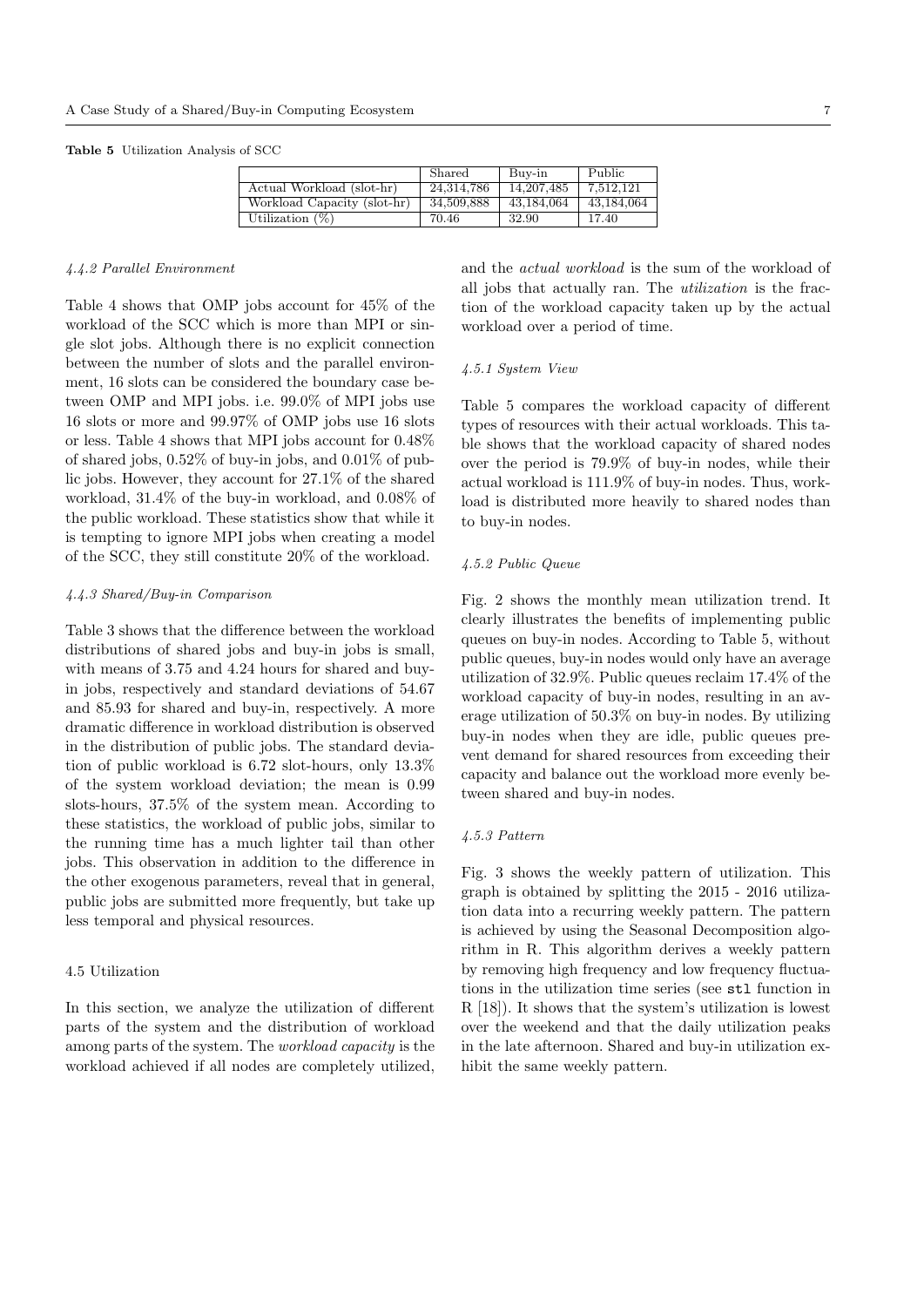#### Table 5 Utilization Analysis of SCC

|                             | Shared     | Buy-in     | Public     |
|-----------------------------|------------|------------|------------|
| Actual Workload (slot-hr)   | 24.314.786 | 14.207.485 | 7.512.121  |
| Workload Capacity (slot-hr) | 34,509,888 | 43.184.064 | 43,184,064 |
| Utilization $(\%)$          | 70.46      | 32.90      | 17.40      |

#### 4.4.2 Parallel Environment

Table 4 shows that OMP jobs account for 45% of the workload of the SCC which is more than MPI or single slot jobs. Although there is no explicit connection between the number of slots and the parallel environment, 16 slots can be considered the boundary case between OMP and MPI jobs. i.e. 99.0% of MPI jobs use 16 slots or more and 99.97% of OMP jobs use 16 slots or less. Table 4 shows that MPI jobs account for 0.48% of shared jobs,  $0.52\%$  of buy-in jobs, and  $0.01\%$  of public jobs. However, they account for 27.1% of the shared workload, 31.4% of the buy-in workload, and 0.08% of the public workload. These statistics show that while it is tempting to ignore MPI jobs when creating a model of the SCC, they still constitute 20% of the workload.

#### 4.4.3 Shared/Buy-in Comparison

Table 3 shows that the difference between the workload distributions of shared jobs and buy-in jobs is small, with means of 3.75 and 4.24 hours for shared and buyin jobs, respectively and standard deviations of 54.67 and 85.93 for shared and buy-in, respectively. A more dramatic difference in workload distribution is observed in the distribution of public jobs. The standard deviation of public workload is 6.72 slot-hours, only 13.3% of the system workload deviation; the mean is 0.99 slots-hours, 37.5% of the system mean. According to these statistics, the workload of public jobs, similar to the running time has a much lighter tail than other jobs. This observation in addition to the difference in the other exogenous parameters, reveal that in general, public jobs are submitted more frequently, but take up less temporal and physical resources.

# 4.5 Utilization

In this section, we analyze the utilization of different parts of the system and the distribution of workload among parts of the system. The workload capacity is the workload achieved if all nodes are completely utilized,

and the actual workload is the sum of the workload of all jobs that actually ran. The utilization is the fraction of the workload capacity taken up by the actual workload over a period of time.

#### 4.5.1 System View

Table 5 compares the workload capacity of different types of resources with their actual workloads. This table shows that the workload capacity of shared nodes over the period is 79.9% of buy-in nodes, while their actual workload is 111.9% of buy-in nodes. Thus, workload is distributed more heavily to shared nodes than to buy-in nodes.

# 4.5.2 Public Queue

Fig. 2 shows the monthly mean utilization trend. It clearly illustrates the benefits of implementing public queues on buy-in nodes. According to Table 5, without public queues, buy-in nodes would only have an average utilization of 32.9%. Public queues reclaim 17.4% of the workload capacity of buy-in nodes, resulting in an average utilization of 50.3% on buy-in nodes. By utilizing buy-in nodes when they are idle, public queues prevent demand for shared resources from exceeding their capacity and balance out the workload more evenly between shared and buy-in nodes.

#### 4.5.3 Pattern

Fig. 3 shows the weekly pattern of utilization. This graph is obtained by splitting the 2015 - 2016 utilization data into a recurring weekly pattern. The pattern is achieved by using the Seasonal Decomposition algorithm in R. This algorithm derives a weekly pattern by removing high frequency and low frequency fluctuations in the utilization time series (see stl function in R [18]). It shows that the system's utilization is lowest over the weekend and that the daily utilization peaks in the late afternoon. Shared and buy-in utilization exhibit the same weekly pattern.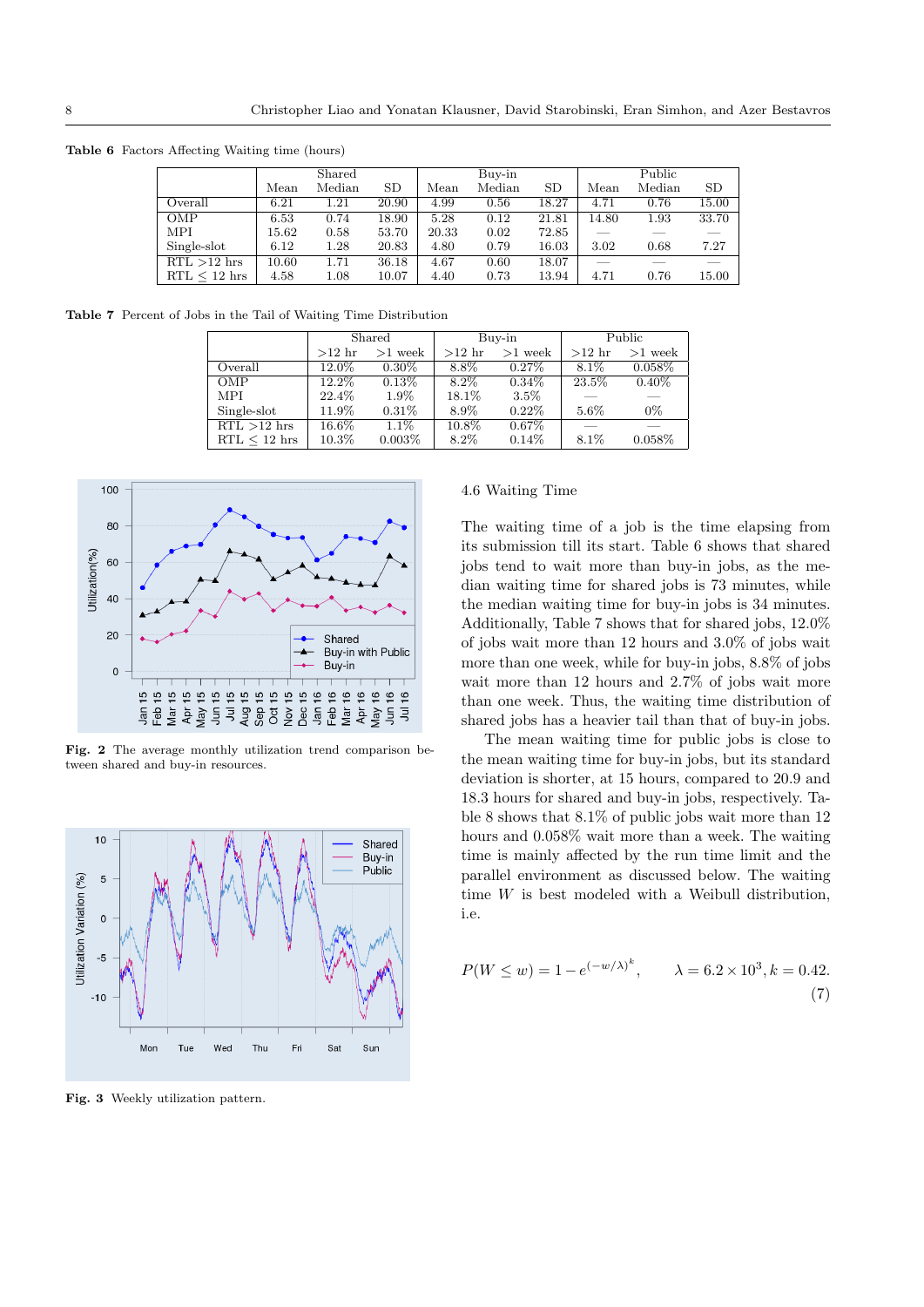Table 6 Factors Affecting Waiting time (hours)

|                | Shared |        |       | Buy-in |        |       | Public |        |       |
|----------------|--------|--------|-------|--------|--------|-------|--------|--------|-------|
|                | Mean   | Median | SD    | Mean   | Median | SD    | Mean   | Median | SD    |
| Overall        | 6.21   | 1.21   | 20.90 | 4.99   | 0.56   | 18.27 | 4.71   | 0.76   | 15.00 |
| OMP            | 6.53   | 0.74   | 18.90 | 5.28   | 0.12   | 21.81 | 14.80  | 1.93   | 33.70 |
| MPI            | 15.62  | 0.58   | 53.70 | 20.33  | 0.02   | 72.85 |        |        |       |
| Single-slot    | 6.12   | 1.28   | 20.83 | 4.80   | 0.79   | 16.03 | 3.02   | 0.68   | 7.27  |
| $RTL > 12$ hrs | 10.60  | 1.71   | 36.18 | 4.67   | 0.60   | 18.07 |        |        |       |
| $RTL < 12$ hrs | 4.58   | 1.08   | 10.07 | 4.40   | 0.73   | 13.94 | 4.71   | 0.76   | 15.00 |

Table 7 Percent of Jobs in the Tail of Waiting Time Distribution

|                | Shared   |           |          | Buy-in    | Public   |           |  |
|----------------|----------|-----------|----------|-----------|----------|-----------|--|
|                | $>12$ hr | $>1$ week | $>12$ hr | $>1$ week | $>12$ hr | $>1$ week |  |
| Overall        | 12.0%    | $0.30\%$  | 8.8%     | $0.27\%$  | 8.1\%    | $0.058\%$ |  |
| <b>OMP</b>     | $12.2\%$ | $0.13\%$  | 8.2%     | $0.34\%$  | 23.5%    | $0.40\%$  |  |
| <b>MPI</b>     | 22.4\%   | $1.9\%$   | 18.1%    | $3.5\%$   |          |           |  |
| Single-slot    | 11.9%    | 0.31%     | 8.9%     | $0.22\%$  | $5.6\%$  | $0\%$     |  |
| $RTL > 12$ hrs | $16.6\%$ | $1.1\%$   | 10.8%    | $0.67\%$  |          |           |  |
| $RTL < 12$ hrs | 10.3%    | $0.003\%$ | $8.2\%$  | 0.14%     | 8.1%     | $0.058\%$ |  |



Fig. 2 The average monthly utilization trend comparison between shared and buy-in resources.



Fig. 3 Weekly utilization pattern.

# 4.6 Waiting Time

The waiting time of a job is the time elapsing from its submission till its start. Table 6 shows that shared jobs tend to wait more than buy-in jobs, as the median waiting time for shared jobs is 73 minutes, while the median waiting time for buy-in jobs is 34 minutes. Additionally, Table 7 shows that for shared jobs, 12.0% of jobs wait more than 12 hours and 3.0% of jobs wait more than one week, while for buy-in jobs, 8.8% of jobs wait more than 12 hours and 2.7% of jobs wait more than one week. Thus, the waiting time distribution of shared jobs has a heavier tail than that of buy-in jobs.

The mean waiting time for public jobs is close to the mean waiting time for buy-in jobs, but its standard deviation is shorter, at 15 hours, compared to 20.9 and 18.3 hours for shared and buy-in jobs, respectively. Table 8 shows that 8.1% of public jobs wait more than 12 hours and 0.058% wait more than a week. The waiting time is mainly affected by the run time limit and the parallel environment as discussed below. The waiting time W is best modeled with a Weibull distribution, i.e.

$$
P(W \le w) = 1 - e^{(-w/\lambda)^k}, \qquad \lambda = 6.2 \times 10^3, k = 0.42.
$$
\n(7)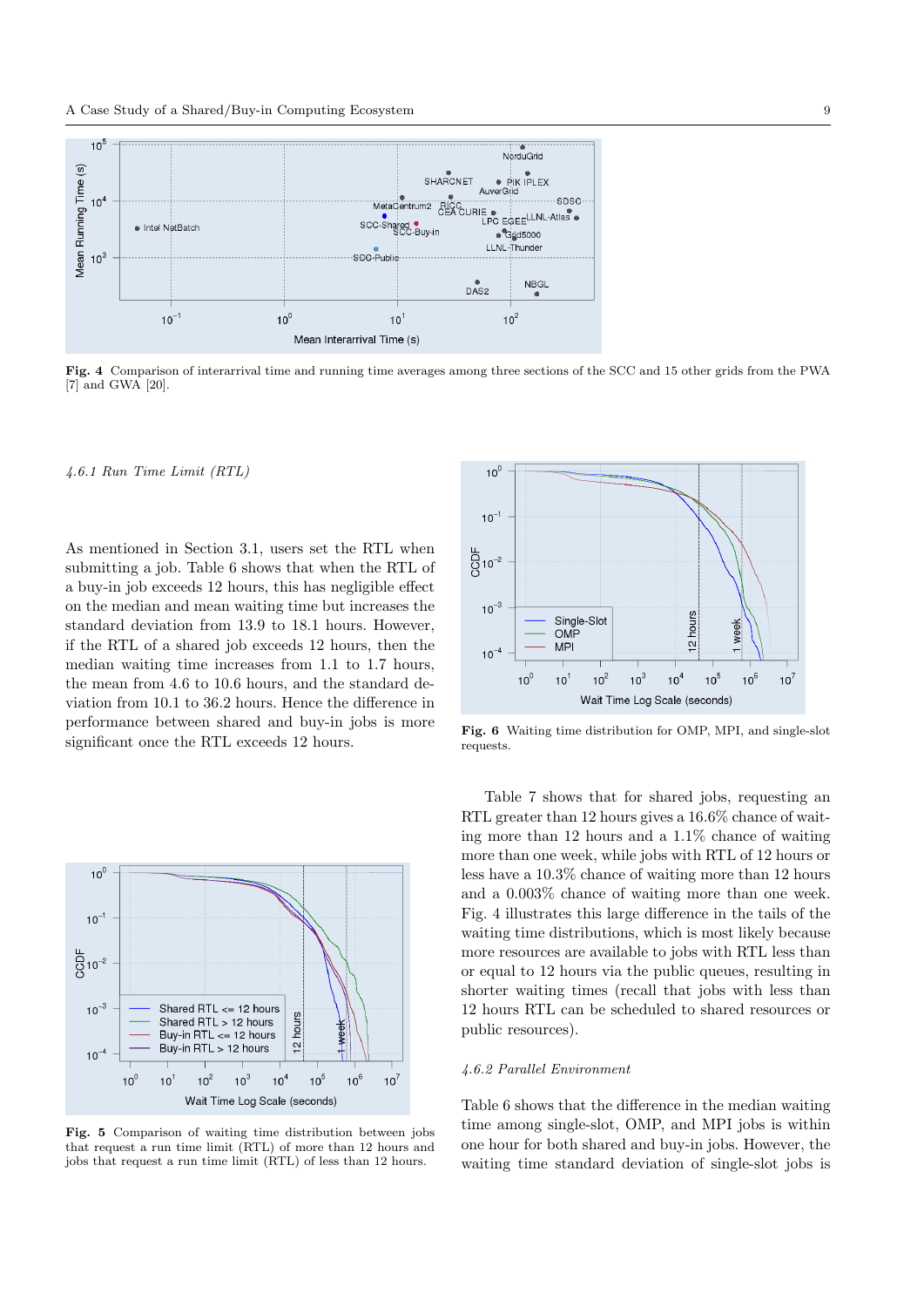

Fig. 4 Comparison of interarrival time and running time averages among three sections of the SCC and 15 other grids from the PWA [7] and GWA [20].

4.6.1 Run Time Limit (RTL)

As mentioned in Section 3.1, users set the RTL when submitting a job. Table 6 shows that when the RTL of a buy-in job exceeds 12 hours, this has negligible effect on the median and mean waiting time but increases the standard deviation from 13.9 to 18.1 hours. However, if the RTL of a shared job exceeds 12 hours, then the median waiting time increases from 1.1 to 1.7 hours, the mean from 4.6 to 10.6 hours, and the standard deviation from 10.1 to 36.2 hours. Hence the difference in performance between shared and buy-in jobs is more significant once the RTL exceeds 12 hours.



Fig. 5 Comparison of waiting time distribution between jobs that request a run time limit (RTL) of more than 12 hours and jobs that request a run time limit (RTL) of less than 12 hours.



Fig. 6 Waiting time distribution for OMP, MPI, and single-slot requests.

Table 7 shows that for shared jobs, requesting an RTL greater than 12 hours gives a 16.6% chance of waiting more than 12 hours and a 1.1% chance of waiting more than one week, while jobs with RTL of 12 hours or less have a 10.3% chance of waiting more than 12 hours and a 0.003% chance of waiting more than one week. Fig. 4 illustrates this large difference in the tails of the waiting time distributions, which is most likely because more resources are available to jobs with RTL less than or equal to 12 hours via the public queues, resulting in shorter waiting times (recall that jobs with less than 12 hours RTL can be scheduled to shared resources or public resources).

#### 4.6.2 Parallel Environment

Table 6 shows that the difference in the median waiting time among single-slot, OMP, and MPI jobs is within one hour for both shared and buy-in jobs. However, the waiting time standard deviation of single-slot jobs is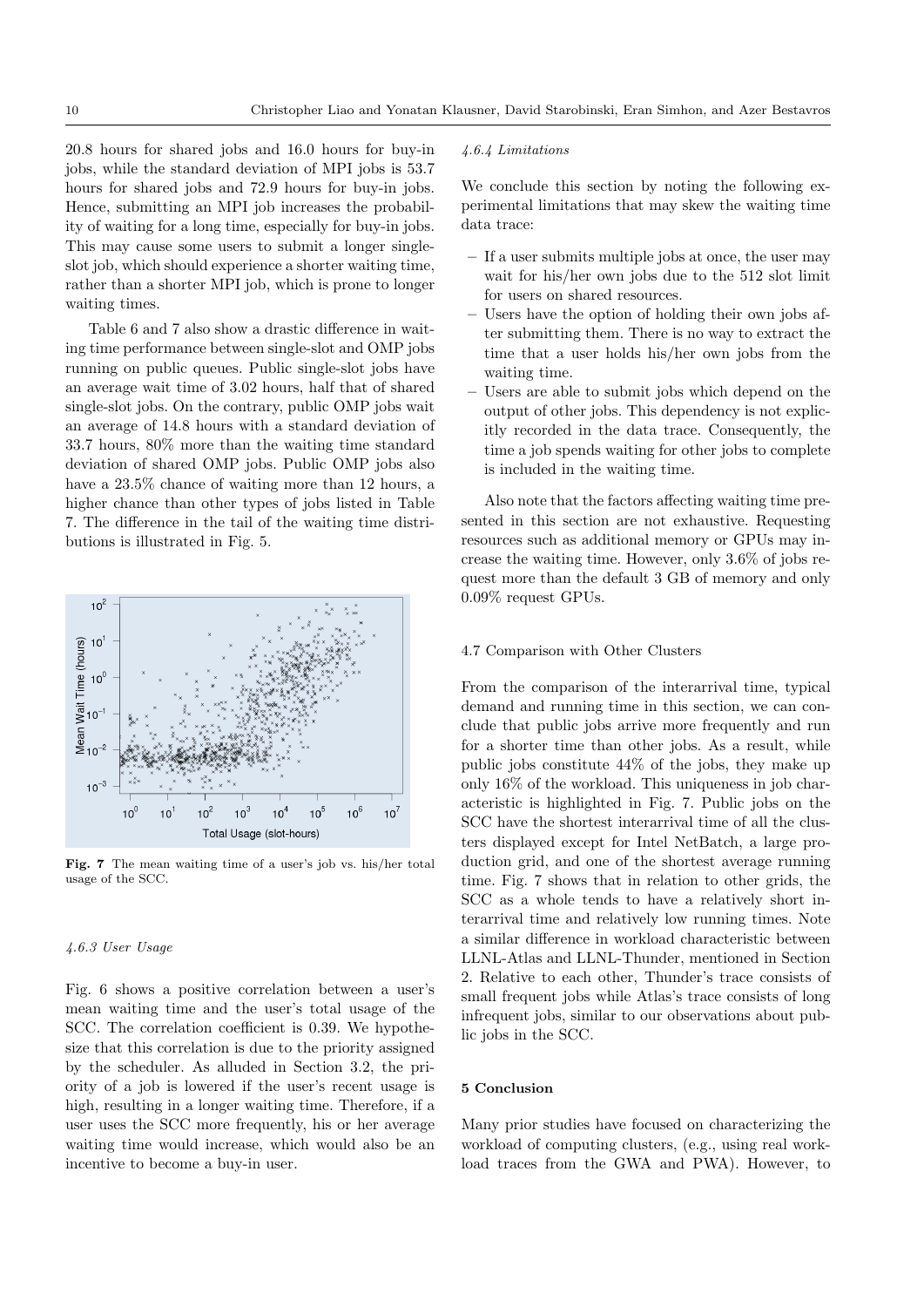20.8 hours for shared jobs and 16.0 hours for buy-in jobs, while the standard deviation of MPI jobs is 53.7 hours for shared jobs and 72.9 hours for buy-in jobs. Hence, submitting an MPI job increases the probability of waiting for a long time, especially for buy-in jobs. This may cause some users to submit a longer singleslot job, which should experience a shorter waiting time. rather than a shorter MPI job, which is prone to longer waiting times.

Table 6 and 7 also show a drastic difference in waiting time performance between single-slot and OMP jobs running on public queues. Public single-slot jobs have an average wait time of 3.02 hours, half that of shared single-slot jobs. On the contrary, public OMP jobs wait an average of 14.8 hours with a standard deviation of 33.7 hours, 80% more than the waiting time standard deviation of shared OMP jobs. Public OMP jobs also have a  $23.5\%$  chance of waiting more than 12 hours, a higher chance than other types of jobs listed in Table 7. The difference in the tail of the waiting time distributions is illustrated in Fig. 5.



Fig. 7 The mean waiting time of a user's job vs. his/her total usage of the SCC.

#### 4.6.3 User Usage

Fig. 6 shows a positive correlation between a user's mean waiting time and the user's total usage of the SCC. The correlation coefficient is 0.39. We hypothesize that this correlation is due to the priority assigned by the scheduler. As alluded in Section 3.2, the priority of a job is lowered if the user's recent usage is high, resulting in a longer waiting time. Therefore, if a user uses the SCC more frequently, his or her average waiting time would increase, which would also be an incentive to become a buy-in user.

#### 4.6.4 Limitations

We conclude this section by noting the following experimental limitations that may skew the waiting time data trace:

- If a user submits multiple jobs at once, the user may wait for his/her own jobs due to the 512 slot limit for users on shared resources.
- Users have the option of holding their own jobs after submitting them. There is no way to extract the time that a user holds his/her own jobs from the waiting time.
- Users are able to submit jobs which depend on the output of other jobs. This dependency is not explicitly recorded in the data trace. Consequently, the time a job spends waiting for other jobs to complete is included in the waiting time.

Also note that the factors affecting waiting time presented in this section are not exhaustive. Requesting resources such as additional memory or GPUs may increase the waiting time. However, only 3.6% of jobs request more than the default 3 GB of memory and only 0.09% request GPUs.

#### 4.7 Comparison with Other Clusters

From the comparison of the interarrival time, typical demand and running time in this section, we can conclude that public jobs arrive more frequently and run for a shorter time than other jobs. As a result, while public jobs constitute 44% of the jobs, they make up only 16% of the workload. This uniqueness in job characteristic is highlighted in Fig. 7. Public jobs on the SCC have the shortest interarrival time of all the clusters displayed except for Intel NetBatch, a large production grid, and one of the shortest average running time. Fig. 7 shows that in relation to other grids, the SCC as a whole tends to have a relatively short interarrival time and relatively low running times. Note a similar difference in workload characteristic between LLNL-Atlas and LLNL-Thunder, mentioned in Section 2. Relative to each other, Thunder's trace consists of small frequent jobs while Atlas's trace consists of long infrequent jobs, similar to our observations about public jobs in the SCC.

#### 5 Conclusion

Many prior studies have focused on characterizing the workload of computing clusters, (e.g., using real workload traces from the GWA and PWA). However, to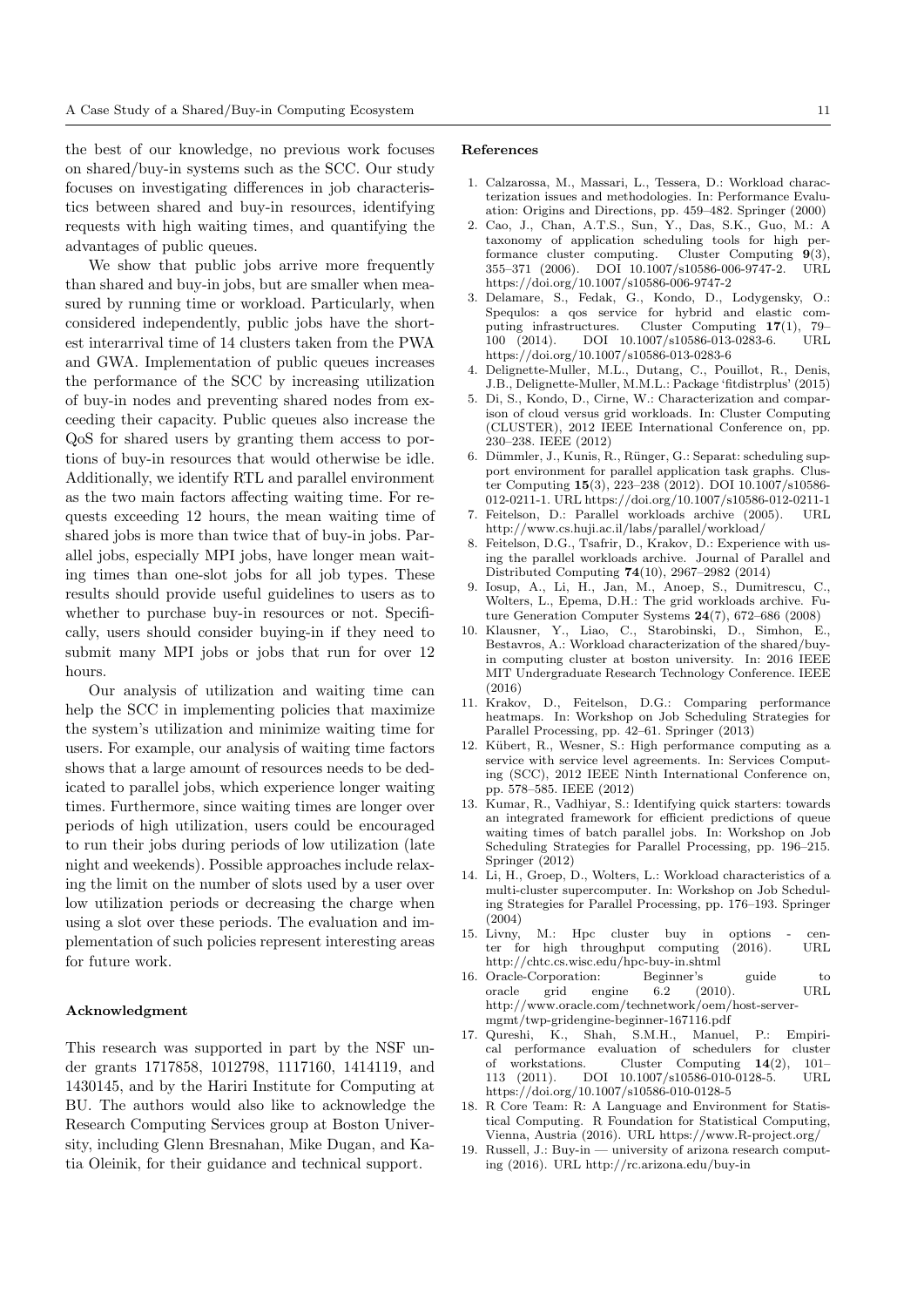the best of our knowledge, no previous work focuses on shared/buy-in systems such as the SCC. Our study focuses on investigating differences in job characteristics between shared and buy-in resources, identifying requests with high waiting times, and quantifying the advantages of public queues.

We show that public jobs arrive more frequently than shared and buy-in jobs, but are smaller when measured by running time or workload. Particularly, when considered independently, public jobs have the shortest interarrival time of 14 clusters taken from the PWA and GWA. Implementation of public queues increases the performance of the SCC by increasing utilization of buy-in nodes and preventing shared nodes from exceeding their capacity. Public queues also increase the QoS for shared users by granting them access to portions of buy-in resources that would otherwise be idle. Additionally, we identify RTL and parallel environment as the two main factors affecting waiting time. For requests exceeding 12 hours, the mean waiting time of shared jobs is more than twice that of buy-in jobs. Parallel jobs, especially MPI jobs, have longer mean waiting times than one-slot jobs for all job types. These results should provide useful guidelines to users as to whether to purchase buy-in resources or not. Specifically, users should consider buying-in if they need to submit many MPI jobs or jobs that run for over 12 hours.

Our analysis of utilization and waiting time can help the SCC in implementing policies that maximize the system's utilization and minimize waiting time for users. For example, our analysis of waiting time factors shows that a large amount of resources needs to be dedicated to parallel jobs, which experience longer waiting times. Furthermore, since waiting times are longer over periods of high utilization, users could be encouraged to run their jobs during periods of low utilization (late night and weekends). Possible approaches include relaxing the limit on the number of slots used by a user over low utilization periods or decreasing the charge when using a slot over these periods. The evaluation and implementation of such policies represent interesting areas for future work.

# Acknowledgment

This research was supported in part by the NSF under grants 1717858, 1012798, 1117160, 1414119, and 1430145, and by the Hariri Institute for Computing at BU. The authors would also like to acknowledge the Research Computing Services group at Boston University, including Glenn Bresnahan, Mike Dugan, and Katia Oleinik, for their guidance and technical support.

#### References

- 1. Calzarossa, M., Massari, L., Tessera, D.: Workload characterization issues and methodologies. In: Performance Evaluation: Origins and Directions, pp. 459–482. Springer (2000)
- 2. Cao, J., Chan, A.T.S., Sun, Y., Das, S.K., Guo, M.: A taxonomy of application scheduling tools for high performance cluster computing. Cluster Computing 9(3), 355–371 (2006). DOI 10.1007/s10586-006-9747-2. URL https://doi.org/10.1007/s10586-006-9747-2
- 3. Delamare, S., Fedak, G., Kondo, D., Lodygensky, O.: Spequlos: a qos service for hybrid and elastic computing infrastructures. Cluster Computing  $17(1)$ ,  $79-100$  (2014) DOI 10.1007/s10586-013-0283-6 URL  $100$   $(2014)$ . DOI  $10.1007/s10586-013-0283-6$ . https://doi.org/10.1007/s10586-013-0283-6
- 4. Delignette-Muller, M.L., Dutang, C., Pouillot, R., Denis, J.B., Delignette-Muller, M.M.L.: Package 'fitdistrplus' (2015)
- 5. Di, S., Kondo, D., Cirne, W.: Characterization and comparison of cloud versus grid workloads. In: Cluster Computing (CLUSTER), 2012 IEEE International Conference on, pp. 230–238. IEEE (2012)
- 6. Dümmler, J., Kunis, R., Rünger, G.: Separat: scheduling support environment for parallel application task graphs. Cluster Computing 15(3), 223–238 (2012). DOI 10.1007/s10586- 012-0211-1. URL https://doi.org/10.1007/s10586-012-0211-1
- 7. Feitelson, D.: Parallel workloads archive (2005). URL http://www.cs.huji.ac.il/labs/parallel/workload/
- 8. Feitelson, D.G., Tsafrir, D., Krakov, D.: Experience with using the parallel workloads archive. Journal of Parallel and Distributed Computing 74(10), 2967–2982 (2014)
- 9. Iosup, A., Li, H., Jan, M., Anoep, S., Dumitrescu, C., Wolters, L., Epema, D.H.: The grid workloads archive. Future Generation Computer Systems 24(7), 672–686 (2008)
- 10. Klausner, Y., Liao, C., Starobinski, D., Simhon, E., Bestavros, A.: Workload characterization of the shared/buyin computing cluster at boston university. In: 2016 IEEE MIT Undergraduate Research Technology Conference. IEEE (2016)
- 11. Krakov, D., Feitelson, D.G.: Comparing performance heatmaps. In: Workshop on Job Scheduling Strategies for Parallel Processing, pp. 42–61. Springer (2013)
- 12. Kübert, R., Wesner, S.: High performance computing as a service with service level agreements. In: Services Computing (SCC), 2012 IEEE Ninth International Conference on, pp. 578–585. IEEE (2012)
- 13. Kumar, R., Vadhiyar, S.: Identifying quick starters: towards an integrated framework for efficient predictions of queue waiting times of batch parallel jobs. In: Workshop on Job Scheduling Strategies for Parallel Processing, pp. 196–215. Springer (2012)
- 14. Li, H., Groep, D., Wolters, L.: Workload characteristics of a multi-cluster supercomputer. In: Workshop on Job Scheduling Strategies for Parallel Processing, pp. 176–193. Springer (2004)
- 15. Livny, M.: Hpc cluster buy in options center for high throughput computing (2016). URL http://chtc.cs.wisc.edu/hpc-buy-in.shtml
- 16. Oracle-Corporation: Beginner's guide to oracle grid engine 6.2 (2010). URL oracle grid engine  $6.2$   $(2010)$ . http://www.oracle.com/technetwork/oem/host-servermgmt/twp-gridengine-beginner-167116.pdf
- 17. Qureshi, K., Shah, S.M.H., Manuel, P.: Empirical performance evaluation of schedulers for cluster<br>of workstations. Cluster Computing  $14(2)$ ,  $101$ of workstations. Cluster Computing<br>113 (2011). DOI 10.1007/s10586-010-01 DOI 10.1007/s10586-010-0128-5. URL https://doi.org/10.1007/s10586-010-0128-5
- 18. R Core Team: R: A Language and Environment for Statistical Computing. R Foundation for Statistical Computing, Vienna, Austria (2016). URL https://www.R-project.org/
- 19. Russell, J.: Buy-in university of arizona research computing (2016). URL http://rc.arizona.edu/buy-in